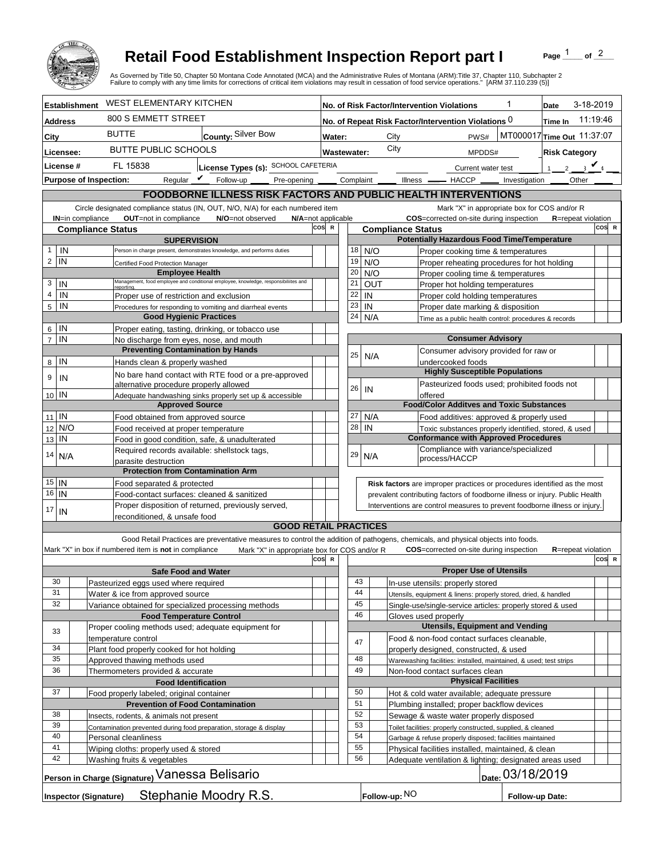

## **Retail Food Establishment Inspection Report part I**

Page  $\frac{1}{1}$  of  $\frac{2}{1}$ 

|                                                                                                        | <b>Retail Food Establishment Inspection Report part I</b><br>As Governed by Title 50, Chapter 50 Montana Code Annotated (MCA) and the Administrative Rules of Montana (ARM):Title 37, Chapter 110, Subchapter 2<br>Failure to comply with any time limits for corrections of critical item violations may result in cessation of food service operations." [ARM 37.110.239 (5)] |                                              |                                                                |          |                                             |                                                                                                                           |                                | Page                       | of $2$   |  |
|--------------------------------------------------------------------------------------------------------|---------------------------------------------------------------------------------------------------------------------------------------------------------------------------------------------------------------------------------------------------------------------------------------------------------------------------------------------------------------------------------|----------------------------------------------|----------------------------------------------------------------|----------|---------------------------------------------|---------------------------------------------------------------------------------------------------------------------------|--------------------------------|----------------------------|----------|--|
| <b>Establishment</b>                                                                                   | <b>WEST ELEMENTARY KITCHEN</b>                                                                                                                                                                                                                                                                                                                                                  |                                              | 1<br>No. of Risk Factor/Intervention Violations                |          |                                             |                                                                                                                           |                                | 3-18-2019<br>Date          |          |  |
| <b>Address</b>                                                                                         | 800 S EMMETT STREET                                                                                                                                                                                                                                                                                                                                                             |                                              | No. of Repeat Risk Factor/Intervention Violations 0<br>Time In |          |                                             |                                                                                                                           |                                |                            | 11:19:46 |  |
| City                                                                                                   | <b>BUTTE</b><br>County: Silver Bow                                                                                                                                                                                                                                                                                                                                              |                                              | MT000017 Time Out 11:37:07<br>City<br>PWS#<br>Water:           |          |                                             |                                                                                                                           |                                |                            |          |  |
| Licensee:                                                                                              | <b>BUTTE PUBLIC SCHOOLS</b>                                                                                                                                                                                                                                                                                                                                                     |                                              | City<br>Wastewater:                                            |          |                                             |                                                                                                                           | MPDDS#<br><b>Risk Category</b> |                            |          |  |
| License #                                                                                              | FL 15838<br>License Types (s): SCHOOL CAFETERIA                                                                                                                                                                                                                                                                                                                                 |                                              |                                                                |          | 2 $\sqrt{4}$<br>Current water test          |                                                                                                                           |                                |                            |          |  |
| <b>Purpose of Inspection:</b>                                                                          | Reqular $\triangledown$ Follow-up                                                                                                                                                                                                                                                                                                                                               | Pre-opening _                                | Complaint                                                      |          |                                             | Illness —<br>$-$ HACCP $\_\_$                                                                                             | Investigation                  | <b>Other</b>               |          |  |
|                                                                                                        | FOODBORNE ILLNESS RISK FACTORS AND PUBLIC HEALTH INTERVENTIONS                                                                                                                                                                                                                                                                                                                  |                                              |                                                                |          |                                             |                                                                                                                           |                                |                            |          |  |
|                                                                                                        | Circle designated compliance status (IN, OUT, N/O, N/A) for each numbered item                                                                                                                                                                                                                                                                                                  |                                              |                                                                |          |                                             | Mark "X" in appropriate box for COS and/or R                                                                              |                                |                            |          |  |
| <b>IN=in compliance</b>                                                                                | OUT=not in compliance<br>N/O=not observed                                                                                                                                                                                                                                                                                                                                       |                                              | COS=corrected on-site during inspection                        |          | <b>R</b> =repeat violation                  |                                                                                                                           |                                |                            |          |  |
| <b>Compliance Status</b>                                                                               |                                                                                                                                                                                                                                                                                                                                                                                 | cos                                          | $\mathbb{R}$                                                   |          | <b>Compliance Status</b>                    |                                                                                                                           |                                |                            | COS R    |  |
| $\mathbf{1}$                                                                                           | <b>SUPERVISION</b>                                                                                                                                                                                                                                                                                                                                                              |                                              |                                                                |          |                                             | <b>Potentially Hazardous Food Time/Temperature</b>                                                                        |                                |                            |          |  |
| IN<br>$\overline{2}$<br>IN                                                                             | Person in charge present, demonstrates knowledge, and performs duties<br>Certified Food Protection Manager                                                                                                                                                                                                                                                                      |                                              | 18<br>19                                                       |          | N/O<br>N/O                                  | Proper cooking time & temperatures<br>Proper reheating procedures for hot holding                                         |                                |                            |          |  |
|                                                                                                        | <b>Employee Health</b>                                                                                                                                                                                                                                                                                                                                                          |                                              | 20                                                             |          | N/O                                         | Proper cooling time & temperatures                                                                                        |                                |                            |          |  |
| 3<br>IN                                                                                                | Management, food employee and conditional employee, knowledge, responsibiliites and<br>reportina.                                                                                                                                                                                                                                                                               |                                              | 21                                                             |          | <b>OUT</b>                                  | Proper hot holding temperatures                                                                                           |                                |                            |          |  |
| $\overline{4}$<br>IN                                                                                   | Proper use of restriction and exclusion                                                                                                                                                                                                                                                                                                                                         |                                              | 22                                                             |          | IN                                          | Proper cold holding temperatures                                                                                          |                                |                            |          |  |
| 5<br>IN                                                                                                | Procedures for responding to vomiting and diarrheal events                                                                                                                                                                                                                                                                                                                      |                                              | 23                                                             |          | IN                                          | Proper date marking & disposition                                                                                         |                                |                            |          |  |
| IN<br>6                                                                                                | <b>Good Hygienic Practices</b><br>Proper eating, tasting, drinking, or tobacco use                                                                                                                                                                                                                                                                                              |                                              | 24                                                             |          | N/A                                         | Time as a public health control: procedures & records                                                                     |                                |                            |          |  |
| $\overline{7}$<br>IN                                                                                   | No discharge from eyes, nose, and mouth                                                                                                                                                                                                                                                                                                                                         |                                              |                                                                |          |                                             | <b>Consumer Advisory</b>                                                                                                  |                                |                            |          |  |
|                                                                                                        | <b>Preventing Contamination by Hands</b>                                                                                                                                                                                                                                                                                                                                        |                                              | 25                                                             |          | N/A                                         | Consumer advisory provided for raw or                                                                                     |                                |                            |          |  |
| IN<br>8                                                                                                | Hands clean & properly washed                                                                                                                                                                                                                                                                                                                                                   |                                              |                                                                |          |                                             | undercooked foods                                                                                                         |                                |                            |          |  |
| 9<br>IN                                                                                                | No bare hand contact with RTE food or a pre-approved                                                                                                                                                                                                                                                                                                                            |                                              |                                                                |          |                                             | <b>Highly Susceptible Populations</b>                                                                                     |                                |                            |          |  |
| 10 IN                                                                                                  | alternative procedure properly allowed<br>Adequate handwashing sinks properly set up & accessible                                                                                                                                                                                                                                                                               |                                              | 26                                                             |          | IN                                          | Pasteurized foods used; prohibited foods not<br>offered                                                                   |                                |                            |          |  |
|                                                                                                        | <b>Approved Source</b>                                                                                                                                                                                                                                                                                                                                                          |                                              |                                                                |          |                                             | <b>Food/Color Additves and Toxic Substances</b>                                                                           |                                |                            |          |  |
| $11$ IN                                                                                                | Food obtained from approved source                                                                                                                                                                                                                                                                                                                                              |                                              | 27                                                             |          | N/A                                         | Food additives: approved & properly used                                                                                  |                                |                            |          |  |
| N/O<br>12                                                                                              | Food received at proper temperature                                                                                                                                                                                                                                                                                                                                             |                                              | 28                                                             |          | IN                                          | Toxic substances properly identified, stored, & used                                                                      |                                |                            |          |  |
| IN<br>13                                                                                               | Food in good condition, safe, & unadulterated                                                                                                                                                                                                                                                                                                                                   |                                              |                                                                |          |                                             | <b>Conformance with Approved Procedures</b><br>Compliance with variance/specialized                                       |                                |                            |          |  |
| 14<br>N/A                                                                                              | Required records available: shellstock tags,<br>parasite destruction                                                                                                                                                                                                                                                                                                            |                                              | 29                                                             |          | N/A                                         | process/HACCP                                                                                                             |                                |                            |          |  |
|                                                                                                        | <b>Protection from Contamination Arm</b>                                                                                                                                                                                                                                                                                                                                        |                                              |                                                                |          |                                             |                                                                                                                           |                                |                            |          |  |
| $15$ IN                                                                                                | Food separated & protected                                                                                                                                                                                                                                                                                                                                                      |                                              |                                                                |          |                                             | Risk factors are improper practices or procedures identified as the most                                                  |                                |                            |          |  |
| $16$   IN                                                                                              | Food-contact surfaces: cleaned & sanitized                                                                                                                                                                                                                                                                                                                                      |                                              |                                                                |          |                                             | prevalent contributing factors of foodborne illness or injury. Public Health                                              |                                |                            |          |  |
| 17<br>IN                                                                                               | Proper disposition of returned, previously served,<br>reconditioned. & unsafe food                                                                                                                                                                                                                                                                                              |                                              |                                                                |          |                                             | Interventions are control measures to prevent foodborne illness or injury.                                                |                                |                            |          |  |
|                                                                                                        |                                                                                                                                                                                                                                                                                                                                                                                 | <b>GOOD RETAIL PRACTICES</b>                 |                                                                |          |                                             |                                                                                                                           |                                |                            |          |  |
|                                                                                                        | Good Retail Practices are preventative measures to control the addition of pathogens, chemicals, and physical objects into foods.                                                                                                                                                                                                                                               |                                              |                                                                |          |                                             |                                                                                                                           |                                |                            |          |  |
|                                                                                                        | Mark "X" in box if numbered item is not in compliance                                                                                                                                                                                                                                                                                                                           | Mark "X" in appropriate box for COS and/or R |                                                                |          |                                             | <b>COS</b> =corrected on-site during inspection                                                                           |                                | <b>R</b> =repeat violation |          |  |
|                                                                                                        |                                                                                                                                                                                                                                                                                                                                                                                 | cos                                          | $\mathbf R$                                                    |          |                                             |                                                                                                                           |                                |                            | COS R    |  |
| 30                                                                                                     | <b>Safe Food and Water</b>                                                                                                                                                                                                                                                                                                                                                      |                                              |                                                                | 43       |                                             | <b>Proper Use of Utensils</b>                                                                                             |                                |                            |          |  |
| 31                                                                                                     | Pasteurized eggs used where required<br>Water & ice from approved source                                                                                                                                                                                                                                                                                                        |                                              |                                                                | 44       |                                             | In-use utensils: properly stored<br>Utensils, equipment & linens: properly stored, dried, & handled                       |                                |                            |          |  |
| 32                                                                                                     | Variance obtained for specialized processing methods                                                                                                                                                                                                                                                                                                                            |                                              |                                                                | 45       |                                             | Single-use/single-service articles: properly stored & used                                                                |                                |                            |          |  |
|                                                                                                        | <b>Food Temperature Control</b>                                                                                                                                                                                                                                                                                                                                                 |                                              |                                                                | 46       |                                             | Gloves used properly                                                                                                      |                                |                            |          |  |
| 33                                                                                                     | Proper cooling methods used; adequate equipment for                                                                                                                                                                                                                                                                                                                             |                                              |                                                                |          |                                             | <b>Utensils, Equipment and Vending</b>                                                                                    |                                |                            |          |  |
| 34                                                                                                     | temperature control                                                                                                                                                                                                                                                                                                                                                             |                                              |                                                                | 47       |                                             | Food & non-food contact surfaces cleanable,                                                                               |                                |                            |          |  |
| 35                                                                                                     | Plant food properly cooked for hot holding<br>Approved thawing methods used                                                                                                                                                                                                                                                                                                     |                                              |                                                                | 48       |                                             | properly designed, constructed, & used<br>Warewashing facilities: installed, maintained, & used; test strips              |                                |                            |          |  |
| 36                                                                                                     | Thermometers provided & accurate                                                                                                                                                                                                                                                                                                                                                |                                              |                                                                | 49       |                                             | Non-food contact surfaces clean                                                                                           |                                |                            |          |  |
| <b>Food Identification</b>                                                                             |                                                                                                                                                                                                                                                                                                                                                                                 |                                              |                                                                |          |                                             | <b>Physical Facilities</b>                                                                                                |                                |                            |          |  |
| 37<br>50<br>Food properly labeled; original container<br>Hot & cold water available; adequate pressure |                                                                                                                                                                                                                                                                                                                                                                                 |                                              |                                                                |          |                                             |                                                                                                                           |                                |                            |          |  |
| <b>Prevention of Food Contamination</b>                                                                |                                                                                                                                                                                                                                                                                                                                                                                 |                                              | 51                                                             |          | Plumbing installed; proper backflow devices |                                                                                                                           |                                |                            |          |  |
| 38<br>39                                                                                               | Insects, rodents, & animals not present                                                                                                                                                                                                                                                                                                                                         |                                              |                                                                | 52<br>53 |                                             | Sewage & waste water properly disposed                                                                                    |                                |                            |          |  |
| 40                                                                                                     | Contamination prevented during food preparation, storage & display                                                                                                                                                                                                                                                                                                              |                                              |                                                                | 54       |                                             | Toilet facilities: properly constructed, supplied, & cleaned<br>Garbage & refuse properly disposed; facilities maintained |                                |                            |          |  |
| 41                                                                                                     | Personal cleanliness<br>Wiping cloths: properly used & stored                                                                                                                                                                                                                                                                                                                   |                                              |                                                                | 55       |                                             | Physical facilities installed, maintained, & clean                                                                        |                                |                            |          |  |
| 42                                                                                                     | Washing fruits & vegetables                                                                                                                                                                                                                                                                                                                                                     |                                              |                                                                | 56       |                                             | Adequate ventilation & lighting; designated areas used                                                                    |                                |                            |          |  |
| <u>Person in Charge (Signatu</u> re) Vanessa Belisario<br>Date: 03/18/2019                             |                                                                                                                                                                                                                                                                                                                                                                                 |                                              |                                                                |          |                                             |                                                                                                                           |                                |                            |          |  |
| Stephanie Moodry R.S.<br>Follow-up: NO<br><b>Inspector (Signature)</b><br>Follow-up Date:              |                                                                                                                                                                                                                                                                                                                                                                                 |                                              |                                                                |          |                                             |                                                                                                                           |                                |                            |          |  |